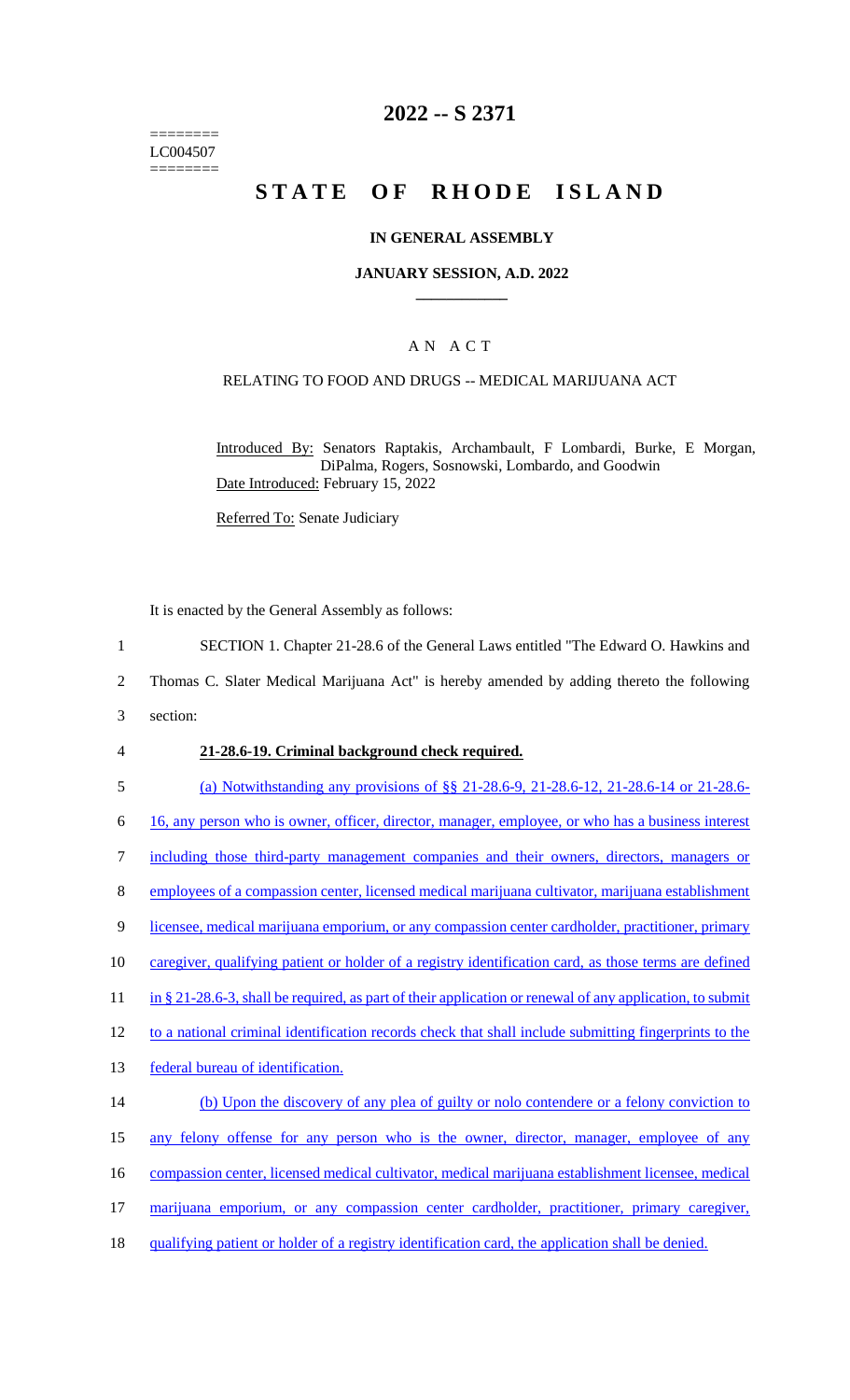======== LC004507 ========

# **2022 -- S 2371**

# **STATE OF RHODE ISLAND**

### **IN GENERAL ASSEMBLY**

### **JANUARY SESSION, A.D. 2022 \_\_\_\_\_\_\_\_\_\_\_\_**

# A N A C T

# RELATING TO FOOD AND DRUGS -- MEDICAL MARIJUANA ACT

Introduced By: Senators Raptakis, Archambault, F Lombardi, Burke, E Morgan, DiPalma, Rogers, Sosnowski, Lombardo, and Goodwin Date Introduced: February 15, 2022

Referred To: Senate Judiciary

It is enacted by the General Assembly as follows:

- 1 SECTION 1. Chapter 21-28.6 of the General Laws entitled "The Edward O. Hawkins and
- 2 Thomas C. Slater Medical Marijuana Act" is hereby amended by adding thereto the following
- 3 section:

### 4 **21-28.6-19. Criminal background check required.**

5 (a) Notwithstanding any provisions of §§ 21-28.6-9, 21-28.6-12, 21-28.6-14 or 21-28.6-

6 16, any person who is owner, officer, director, manager, employee, or who has a business interest

7 including those third-party management companies and their owners, directors, managers or

- 8 employees of a compassion center, licensed medical marijuana cultivator, marijuana establishment
- 9 licensee, medical marijuana emporium, or any compassion center cardholder, practitioner, primary
- 10 caregiver, qualifying patient or holder of a registry identification card, as those terms are defined
- 11 in § 21-28.6-3, shall be required, as part of their application or renewal of any application, to submit
- 12 to a national criminal identification records check that shall include submitting fingerprints to the
- 13 federal bureau of identification.
- 14 (b) Upon the discovery of any plea of guilty or nolo contendere or a felony conviction to 15 any felony offense for any person who is the owner, director, manager, employee of any
- 16 compassion center, licensed medical cultivator, medical marijuana establishment licensee, medical
- 
- 17 marijuana emporium, or any compassion center cardholder, practitioner, primary caregiver,
- 18 qualifying patient or holder of a registry identification card, the application shall be denied.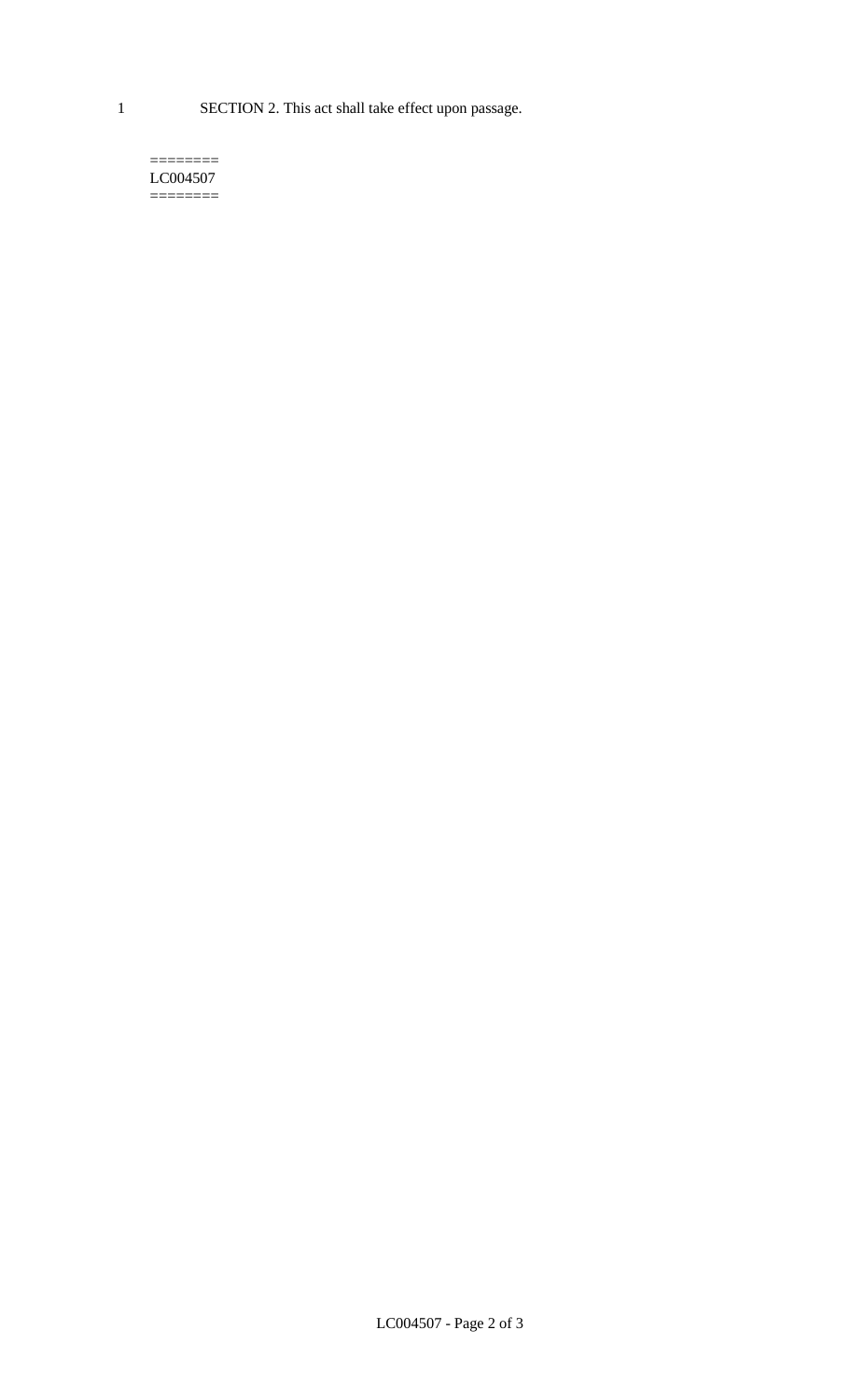1 SECTION 2. This act shall take effect upon passage.

#### $=$ LC004507  $=$